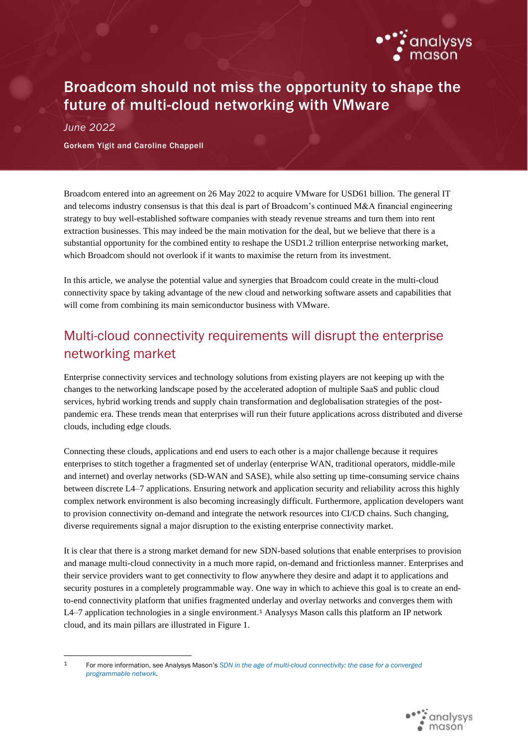

## Broadcom should not miss the opportunity to shape the future of multi-cloud networking with VMware

*June 2022*

Gorkem Yigit and Caroline Chappell

Broadcom entered into an agreement on 26 May 2022 to acquire VMware for USD61 billion. The general IT and telecoms industry consensus is that this deal is part of Broadcom's continued M&A financial engineering strategy to buy well-established software companies with steady revenue streams and turn them into rent extraction businesses. This may indeed be the main motivation for the deal, but we believe that there is a substantial opportunity for the combined entity to reshape the USD1.2 trillion enterprise networking market, which Broadcom should not overlook if it wants to maximise the return from its investment.

In this article, we analyse the potential value and synergies that Broadcom could create in the multi-cloud connectivity space by taking advantage of the new cloud and networking software assets and capabilities that will come from combining its main semiconductor business with VMware.

## Multi-cloud connectivity requirements will disrupt the enterprise networking market

Enterprise connectivity services and technology solutions from existing players are not keeping up with the changes to the networking landscape posed by the accelerated adoption of multiple SaaS and public cloud services, hybrid working trends and supply chain transformation and deglobalisation strategies of the postpandemic era. These trends mean that enterprises will run their future applications across distributed and diverse clouds, including edge clouds.

Connecting these clouds, applications and end users to each other is a major challenge because it requires enterprises to stitch together a fragmented set of underlay (enterprise WAN, traditional operators, middle-mile and internet) and overlay networks (SD-WAN and SASE), while also setting up time-consuming service chains between discrete L4–7 applications. Ensuring network and application security and reliability across this highly complex network environment is also becoming increasingly difficult. Furthermore, application developers want to provision connectivity on-demand and integrate the network resources into CI/CD chains. Such changing, diverse requirements signal a major disruption to the existing enterprise connectivity market.

It is clear that there is a strong market demand for new SDN-based solutions that enable enterprises to provision and manage multi-cloud connectivity in a much more rapid, on-demand and frictionless manner. Enterprises and their service providers want to get connectivity to flow anywhere they desire and adapt it to applications and security postures in a completely programmable way. One way in which to achieve this goal is to create an endto-end connectivity platform that unifies fragmented underlay and overlay networks and converges them with L4–7 application technologies in a single environment. <sup>1</sup> Analysys Mason calls this platform an IP network cloud, and its main pillars are illustrated in Figure 1.

<sup>1</sup> For more information, see Analysys Mason's *[SDN in the age of multi-cloud connectivity: the case for a converged](https://www.analysysmason.com/research/content/reports/sdn-multicloud-connectivity-rma16/)  [programmable network](https://www.analysysmason.com/research/content/reports/sdn-multicloud-connectivity-rma16/)*.

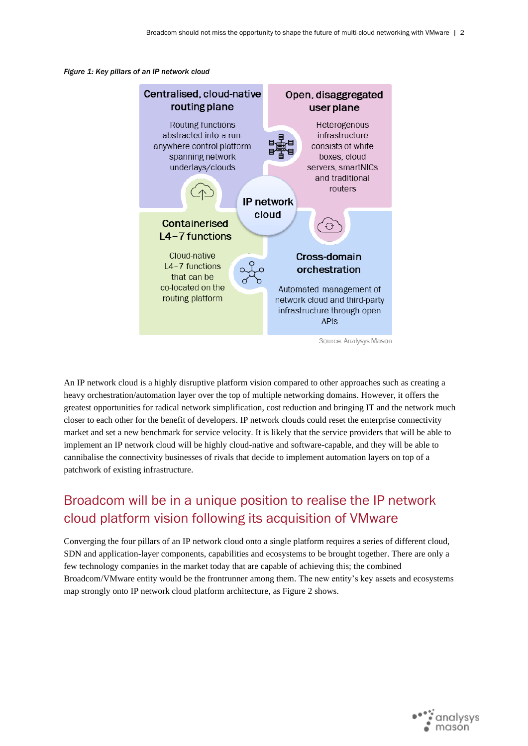



An IP network cloud is a highly disruptive platform vision compared to other approaches such as creating a heavy orchestration/automation layer over the top of multiple networking domains. However, it offers the greatest opportunities for radical network simplification, cost reduction and bringing IT and the network much closer to each other for the benefit of developers. IP network clouds could reset the enterprise connectivity market and set a new benchmark for service velocity. It is likely that the service providers that will be able to implement an IP network cloud will be highly cloud-native and software-capable, and they will be able to cannibalise the connectivity businesses of rivals that decide to implement automation layers on top of a patchwork of existing infrastructure.

## Broadcom will be in a unique position to realise the IP network cloud platform vision following its acquisition of VMware

Converging the four pillars of an IP network cloud onto a single platform requires a series of different cloud, SDN and application-layer components, capabilities and ecosystems to be brought together. There are only a few technology companies in the market today that are capable of achieving this; the combined Broadcom/VMware entity would be the frontrunner among them. The new entity's key assets and ecosystems map strongly onto IP network cloud platform architecture, as Figure 2 shows.